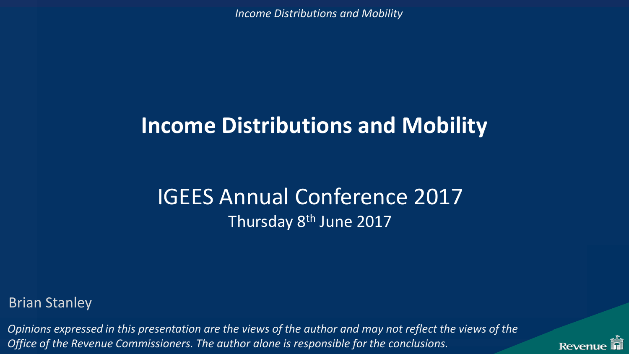#### **Income Distributions and Mobility**

#### IGEES Annual Conference 2017 Thursday 8th June 2017

Brian Stanley

*Opinions expressed in this presentation are the views of the author and may not reflect the views of the Office of the Revenue Commissioners. The author alone is responsible for the conclusions.* 

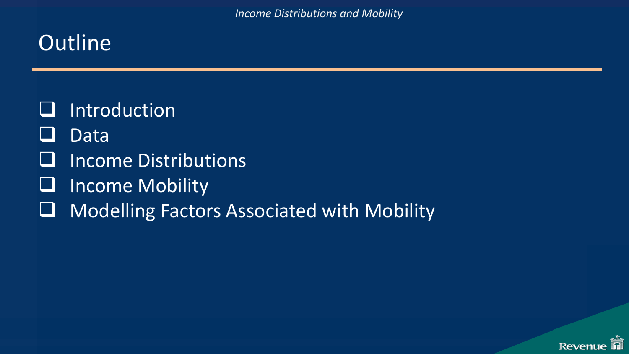### **Outline**

- $\Box$  Introduction
- **Data**
- Income Distributions
- **U** Income Mobility
- □ Modelling Factors Associated with Mobility

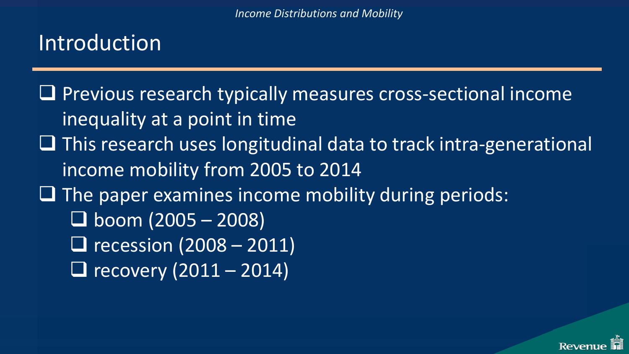### Introduction

**La Previous research typically measures cross-sectional income** inequality at a point in time  $\Box$  This research uses longitudinal data to track intra-generational income mobility from 2005 to 2014  $\Box$  The paper examines income mobility during periods:  $\Box$  boom (2005 – 2008)  $\Box$  recession (2008 – 2011)  $\Box$  recovery (2011 – 2014)

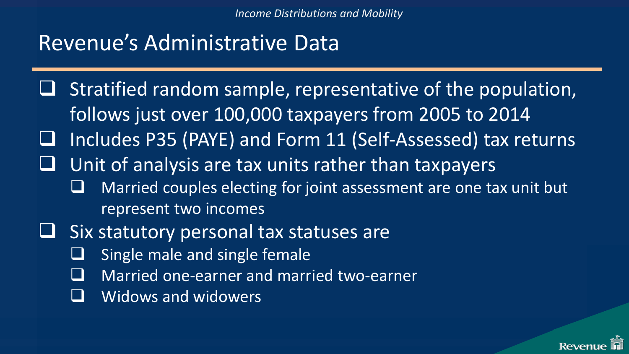### Revenue's Administrative Data

- Stratified random sample, representative of the population, follows just over 100,000 taxpayers from 2005 to 2014
- $\Box$  Includes P35 (PAYE) and Form 11 (Self-Assessed) tax returns
- Unit of analysis are tax units rather than taxpayers
	- Married couples electing for joint assessment are one tax unit but represent two incomes
- Six statutory personal tax statuses are
	- Single male and single female
	- Married one-earner and married two-earner
	- Widows and widowers

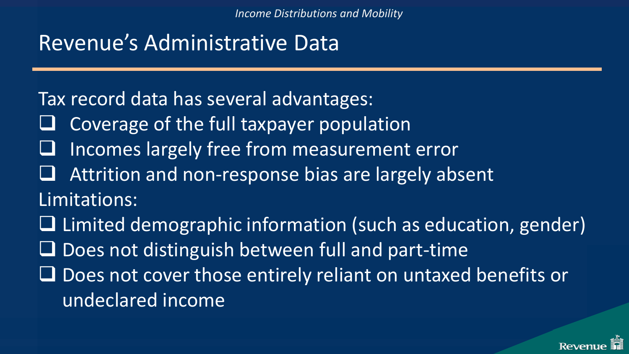### Revenue's Administrative Data

Tax record data has several advantages:

- Coverage of the full taxpayer population
- Incomes largely free from measurement error
- Attrition and non-response bias are largely absent

Limitations:

 $\Box$  Limited demographic information (such as education, gender)  $\Box$  Does not distinguish between full and part-time Does not cover those entirely reliant on untaxed benefits or undeclared income

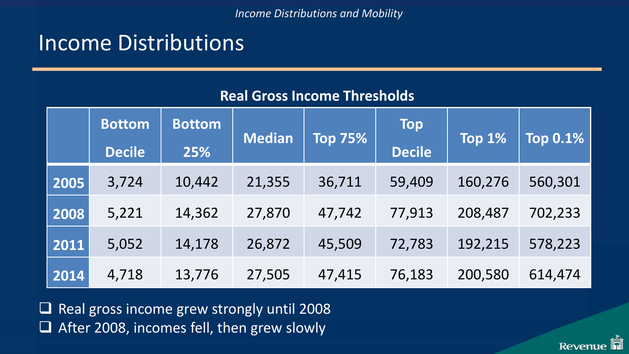#### Income Distributions

#### **Real Gross Income Thresholds**

|      | <b>Bottom</b><br><b>Decile</b> | <b>Bottom</b><br>25% | <b>Median</b> | <b>Top 75%</b> | <b>Top</b><br><b>Decile</b> | Top 1%  | <b>Top 0.1%</b> |
|------|--------------------------------|----------------------|---------------|----------------|-----------------------------|---------|-----------------|
| 2005 | 3,724                          | 10,442               | 21,355        | 36,711         | 59,409                      | 160,276 | 560,301         |
| 2008 | 5,221                          | 14,362               | 27,870        | 47,742         | 77,913                      | 208,487 | 702,233         |
| 2011 | 5,052                          | 14,178               | 26,872        | 45,509         | 72,783                      | 192,215 | 578,223         |
| 2014 | 4,718                          | 13,776               | 27,505        | 47,415         | 76,183                      | 200,580 | 614,474         |

 $\Box$  Real gross income grew strongly until 2008  $\Box$  After 2008, incomes fell, then grew slowly

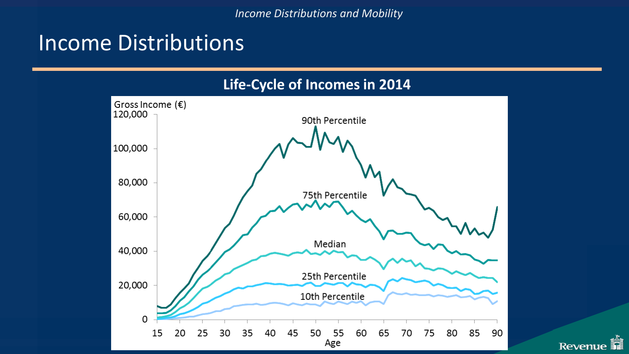#### Income Distributions



**R** 

Revenue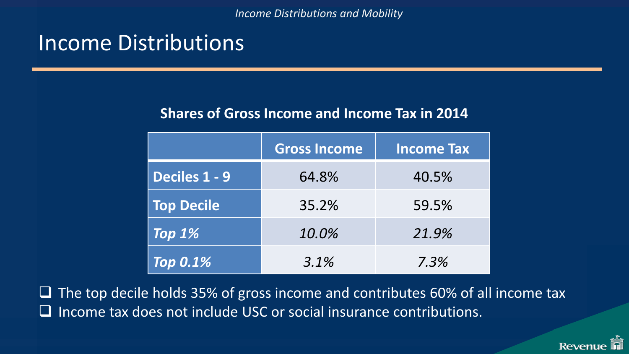#### Income Distributions

#### **Shares of Gross Income and Income Tax in 2014**

|                      | <b>Gross Income</b> | <b>Income Tax</b> |
|----------------------|---------------------|-------------------|
| <b>Deciles 1 - 9</b> | 64.8%               | 40.5%             |
| <b>Top Decile</b>    | 35.2%               | 59.5%             |
| Top $1%$             | 10.0%               | 21.9%             |
| <b>Top 0.1%</b>      | 3.1%                | 7.3%              |

 $\Box$  The top decile holds 35% of gross income and contributes 60% of all income tax  $\Box$  Income tax does not include USC or social insurance contributions.

**Reven**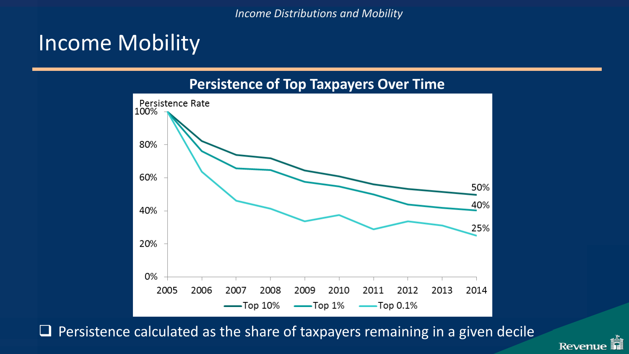#### Income Mobility



 $\Box$  Persistence calculated as the share of taxpayers remaining in a given decile

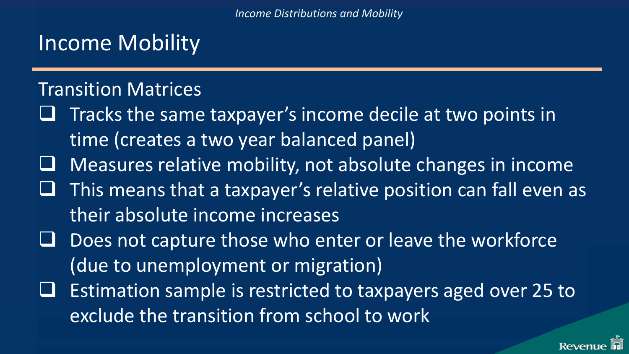### Income Mobility

#### Transition Matrices

- Tracks the same taxpayer's income decile at two points in time (creates a two year balanced panel)
- Measures relative mobility, not absolute changes in income
- This means that a taxpayer's relative position can fall even as their absolute income increases
- Does not capture those who enter or leave the workforce (due to unemployment or migration)
- Estimation sample is restricted to taxpayers aged over 25 to exclude the transition from school to work

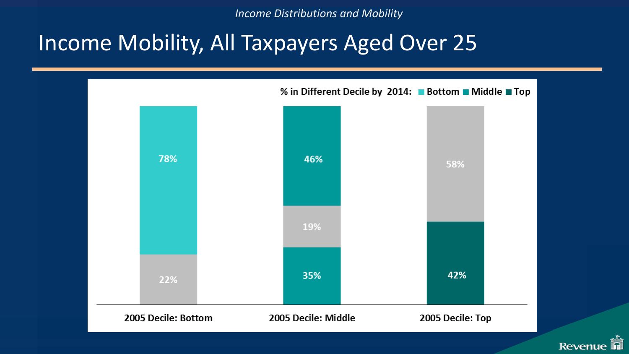#### Income Mobility, All Taxpayers Aged Over 25



**Revenue**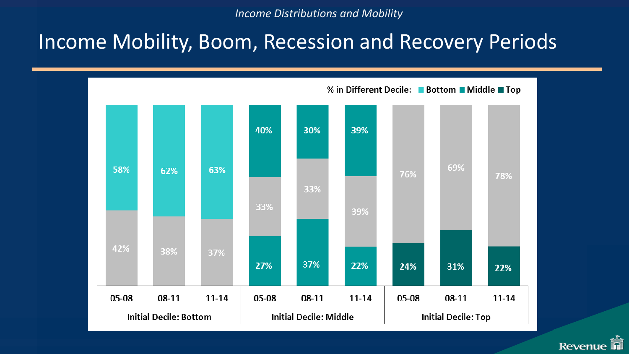#### Income Mobility, Boom, Recession and Recovery Periods



**Revenue**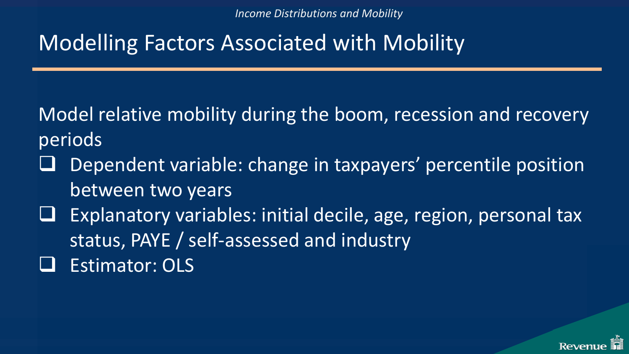### Modelling Factors Associated with Mobility

Model relative mobility during the boom, recession and recovery periods

- Dependent variable: change in taxpayers' percentile position between two years
- Explanatory variables: initial decile, age, region, personal tax status, PAYE / self-assessed and industry Estimator: OLS

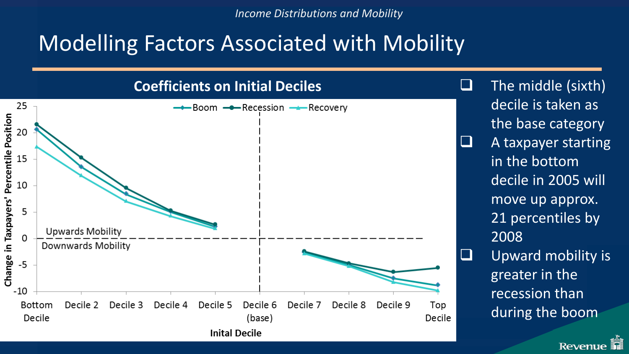#### Modelling Factors Associated with Mobility

**Coefficients on Initial Deciles** 25 → Boom → Recession → Recovery Change in Taxpayers' Percentile Position 20 15 10 5 **Upwards Mobility** O Downwards Mobility  $-5$  $-10$ **Bottom** Decile 2 Decile 3 Decile 4 Decile 5 Decile 6 Decile 7 Decile 8 Decile 9 Top Decile (base) Decile **Inital Decile** 

 The middle (sixth) decile is taken as the base category

- $\Box$  A taxpayer starting in the bottom decile in 2005 will move up approx. 21 percentiles by 2008
- $\Box$  Upward mobility is greater in the recession than during the boom

Revenu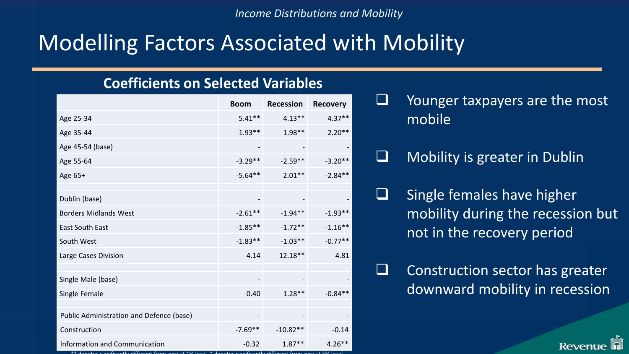#### Modelling Factors Associated with Mobility

#### **Coefficients on Selected Variables**

|                                          | <b>Boom</b>                  | Recession  | <b>Recovery</b> |
|------------------------------------------|------------------------------|------------|-----------------|
| Age 25-34                                | $5.41**$                     | $4.13***$  | $4.37**$        |
| Age 35-44                                | $1.93**$                     | $1.98**$   | $2.20**$        |
| Age 45-54 (base)                         | $\qquad \qquad \blacksquare$ | -          |                 |
| Age 55-64                                | $-3.29**$                    | $-2.59**$  | $-3.20**$       |
| Age 65+                                  | $-5.64**$                    | $2.01**$   | $-2.84**$       |
|                                          |                              |            |                 |
| Dublin (base)                            |                              |            |                 |
| <b>Borders Midlands West</b>             | $-2.61**$                    | $-1.94**$  | $-1.93**$       |
| East South East                          | $-1.85**$                    | $-1.72**$  | $-1.16**$       |
| South West                               | $-1.83**$                    | $-1.03**$  | $-0.77**$       |
| Large Cases Division                     | 4.14                         | $12.18**$  | 4.81            |
|                                          |                              |            |                 |
| Single Male (base)                       | -                            |            |                 |
| Single Female                            | 0.40                         | $1.28**$   | $-0.84**$       |
|                                          |                              |            |                 |
| Public Administration and Defence (base) |                              |            |                 |
| Construction                             | $-7.69**$                    | $-10.82**$ | $-0.14$         |
| Information and Communication            | $-0.32$                      | $1.87**$   | $4.26**$        |

\*\* denotes significantly different from zero at 1% level. \* denotes significantly different from zero at 5% level

- $\Box$  Younger taxpayers are the most mobile
- $\Box$  Mobility is greater in Dublin
- $\Box$  Single females have higher mobility during the recession but not in the recovery period
	- Construction sector has greater downward mobility in recession

Revenu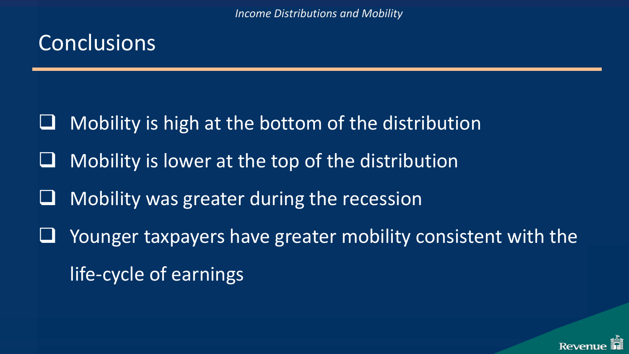### **Conclusions**

- Mobility is high at the bottom of the distribution
- Mobility is lower at the top of the distribution
- Mobility was greater during the recession
- Younger taxpayers have greater mobility consistent with the life-cycle of earnings